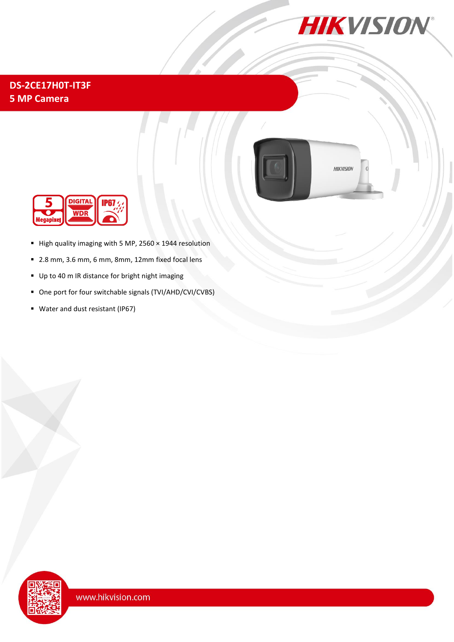

## **DS-2CE17H0T-IT3F 5 MP Camera**



**HIKVISION** 



- High quality imaging with 5 MP, 2560 × 1944 resolution
- 2.8 mm, 3.6 mm, 6 mm, 8mm, 12mm fixed focal lens
- Up to 40 m IR distance for bright night imaging
- One port for four switchable signals (TVI/AHD/CVI/CVBS)
- Water and dust resistant (IP67)

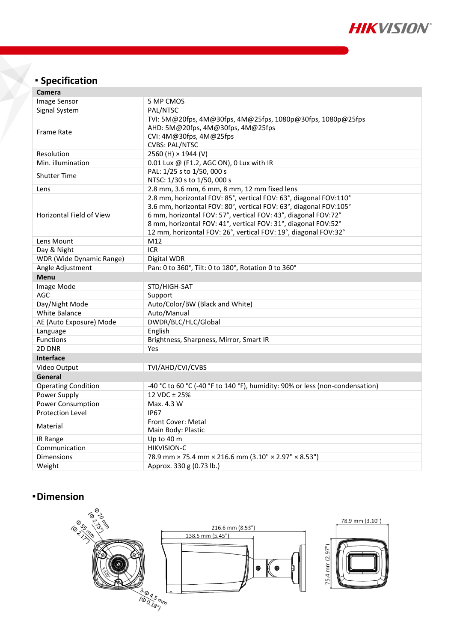

# **Specification**

| Camera                     |                                                                                                                                                                                                                                                                                                                                               |
|----------------------------|-----------------------------------------------------------------------------------------------------------------------------------------------------------------------------------------------------------------------------------------------------------------------------------------------------------------------------------------------|
| Image Sensor               | 5 MP CMOS                                                                                                                                                                                                                                                                                                                                     |
| Signal System              | PAL/NTSC                                                                                                                                                                                                                                                                                                                                      |
| <b>Frame Rate</b>          | TVI: 5M@20fps, 4M@30fps, 4M@25fps, 1080p@30fps, 1080p@25fps<br>AHD: 5M@20fps, 4M@30fps, 4M@25fps<br>CVI: 4M@30fps, 4M@25fps<br><b>CVBS: PAL/NTSC</b>                                                                                                                                                                                          |
| Resolution                 | 2560 (H) × 1944 (V)                                                                                                                                                                                                                                                                                                                           |
| Min. illumination          | 0.01 Lux @ (F1.2, AGC ON), 0 Lux with IR                                                                                                                                                                                                                                                                                                      |
| <b>Shutter Time</b>        | PAL: 1/25 s to 1/50, 000 s<br>NTSC: 1/30 s to 1/50, 000 s                                                                                                                                                                                                                                                                                     |
| Lens                       | 2.8 mm, 3.6 mm, 6 mm, 8 mm, 12 mm fixed lens                                                                                                                                                                                                                                                                                                  |
| Horizontal Field of View   | 2.8 mm, horizontal FOV: 85°, vertical FOV: 63°, diagonal FOV:110°<br>3.6 mm, horizontal FOV: 80°, vertical FOV: 63°, diagonal FOV:105°<br>6 mm, horizontal FOV: 57°, vertical FOV: 43°, diagonal FOV:72°<br>8 mm, horizontal FOV: 41°, vertical FOV: 31°, diagonal FOV:52°<br>12 mm, horizontal FOV: 26°, vertical FOV: 19°, diagonal FOV:32° |
| Lens Mount                 | M12                                                                                                                                                                                                                                                                                                                                           |
| Day & Night                | <b>ICR</b>                                                                                                                                                                                                                                                                                                                                    |
| WDR (Wide Dynamic Range)   | Digital WDR                                                                                                                                                                                                                                                                                                                                   |
| Angle Adjustment           | Pan: 0 to 360°, Tilt: 0 to 180°, Rotation 0 to 360°                                                                                                                                                                                                                                                                                           |
| <b>Menu</b>                |                                                                                                                                                                                                                                                                                                                                               |
| Image Mode                 | STD/HIGH-SAT                                                                                                                                                                                                                                                                                                                                  |
| AGC                        | Support                                                                                                                                                                                                                                                                                                                                       |
| Day/Night Mode             | Auto/Color/BW (Black and White)                                                                                                                                                                                                                                                                                                               |
| <b>White Balance</b>       | Auto/Manual                                                                                                                                                                                                                                                                                                                                   |
| AE (Auto Exposure) Mode    | DWDR/BLC/HLC/Global                                                                                                                                                                                                                                                                                                                           |
| Language                   | English                                                                                                                                                                                                                                                                                                                                       |
| <b>Functions</b>           | Brightness, Sharpness, Mirror, Smart IR                                                                                                                                                                                                                                                                                                       |
| 2D DNR                     | Yes                                                                                                                                                                                                                                                                                                                                           |
| <b>Interface</b>           |                                                                                                                                                                                                                                                                                                                                               |
| Video Output               | TVI/AHD/CVI/CVBS                                                                                                                                                                                                                                                                                                                              |
| General                    |                                                                                                                                                                                                                                                                                                                                               |
| <b>Operating Condition</b> | -40 °C to 60 °C (-40 °F to 140 °F), humidity: 90% or less (non-condensation)                                                                                                                                                                                                                                                                  |
| Power Supply               | 12 VDC ± 25%                                                                                                                                                                                                                                                                                                                                  |
| <b>Power Consumption</b>   | Max. 4.3 W                                                                                                                                                                                                                                                                                                                                    |
| <b>Protection Level</b>    | <b>IP67</b>                                                                                                                                                                                                                                                                                                                                   |
| Material                   | Front Cover: Metal<br>Main Body: Plastic                                                                                                                                                                                                                                                                                                      |
| IR Range                   | Up to 40 m                                                                                                                                                                                                                                                                                                                                    |
| Communication              | <b>HIKVISION-C</b>                                                                                                                                                                                                                                                                                                                            |
| <b>Dimensions</b>          | 78.9 mm × 75.4 mm × 216.6 mm (3.10" × 2.97" × 8.53")                                                                                                                                                                                                                                                                                          |
| Weight                     | Approx. 330 g (0.73 lb.)                                                                                                                                                                                                                                                                                                                      |

### **Dimension**